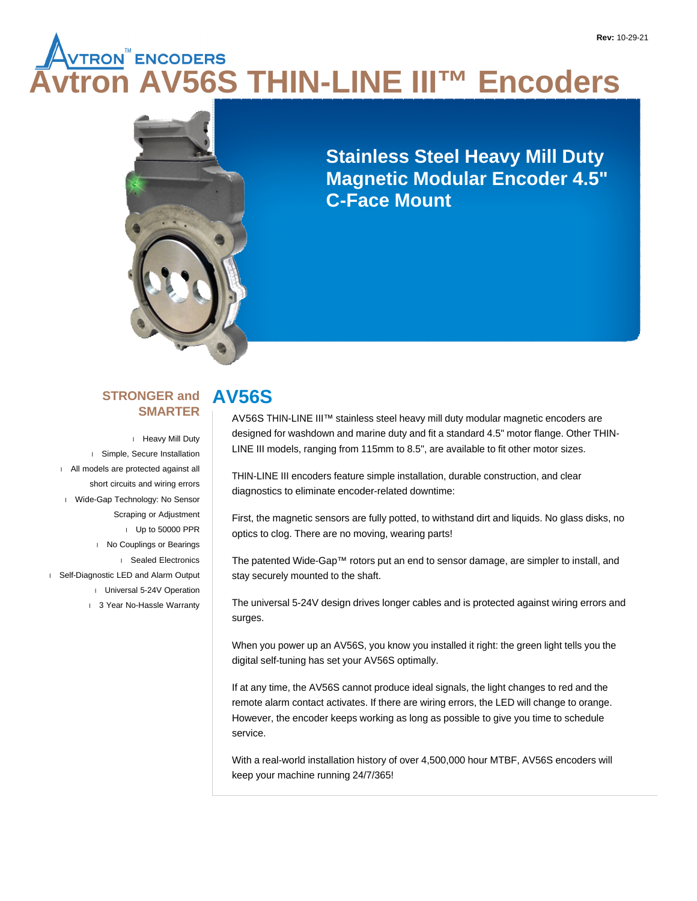# **ALUAN ENCODERS**<br>Tron AV56S THIN-LINE III™ Encod<mark>ers</mark>



**Stainless Steel Heavy Mill Duty Magnetic Modular Encoder 4.5" C-Face Mount**

#### **STRONGER and SMARTER**

 Heavy Mill Duty Simple, Secure Installation All models are protected against all short circuits and wiring errors Wide-Gap Technology: No Sensor Scraping or Adjustment Up to 50000 PPR No Couplings or Bearings Sealed Electronics Self-Diagnostic LED and Alarm Output Universal 5-24V Operation 1 3 Year No-Hassle Warranty

# **AV56S**

AV56S THIN-LINE III™ stainless steel heavy mill duty modular magnetic encoders are designed for washdown and marine duty and fit a standard 4.5" motor flange. Other THIN-LINE III models, ranging from 115mm to 8.5", are available to fit other motor sizes.

THIN-LINE III encoders feature simple installation, durable construction, and clear diagnostics to eliminate encoder-related downtime:

First, the magnetic sensors are fully potted, to withstand dirt and liquids. No glass disks, no optics to clog. There are no moving, wearing parts!

The patented Wide-Gap™ rotors put an end to sensor damage, are simpler to install, and stay securely mounted to the shaft.

The universal 5-24V design drives longer cables and is protected against wiring errors and surges.

When you power up an AV56S, you know you installed it right: the green light tells you the digital self-tuning has set your AV56S optimally.

If at any time, the AV56S cannot produce ideal signals, the light changes to red and the remote alarm contact activates. If there are wiring errors, the LED will change to orange. However, the encoder keeps working as long as possible to give you time to schedule service.

With a real-world installation history of over 4,500,000 hour MTBF, AV56S encoders will keep your machine running 24/7/365!